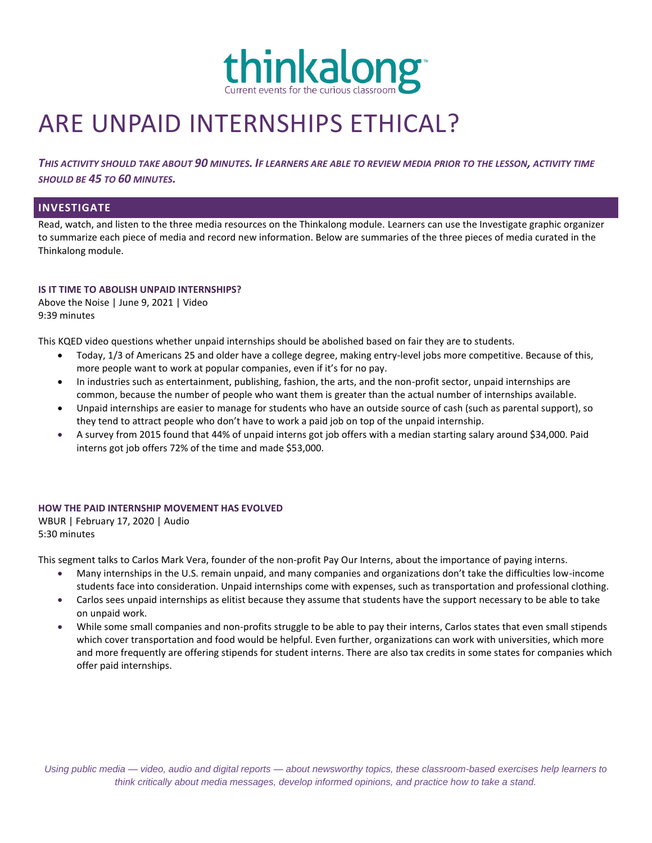

# ARE UNPAID INTERNSHIPS ETHICAL?

*THIS ACTIVITY SHOULD TAKE ABOUT 90 MINUTES. IF LEARNERS ARE ABLE TO REVIEW MEDIA PRIOR TO THE LESSON, ACTIVITY TIME SHOULD BE 45 TO 60 MINUTES.*

## **INVESTIGATE**

Read, watch, and listen to the three media resources on the Thinkalong module. Learners can use the Investigate graphic organizer to summarize each piece of media and record new information. Below are summaries of the three pieces of media curated in the Thinkalong module.

## **IS IT TIME TO ABOLISH UNPAID INTERNSHIPS?**

Above the Noise | June 9, 2021 | Video 9:39 minutes

This KQED video questions whether unpaid internships should be abolished based on fair they are to students.

- Today, 1/3 of Americans 25 and older have a college degree, making entry-level jobs more competitive. Because of this, more people want to work at popular companies, even if it's for no pay.
- In industries such as entertainment, publishing, fashion, the arts, and the non-profit sector, unpaid internships are common, because the number of people who want them is greater than the actual number of internships available.
- Unpaid internships are easier to manage for students who have an outside source of cash (such as parental support), so they tend to attract people who don't have to work a paid job on top of the unpaid internship.
- A survey from 2015 found that 44% of unpaid interns got job offers with a median starting salary around \$34,000. Paid interns got job offers 72% of the time and made \$53,000.

## **HOW THE PAID INTERNSHIP MOVEMENT HAS EVOLVED**

WBUR | February 17, 2020 | Audio 5:30 minutes

This segment talks to Carlos Mark Vera, founder of the non-profit Pay Our Interns, about the importance of paying interns.

- Many internships in the U.S. remain unpaid, and many companies and organizations don't take the difficulties low-income students face into consideration. Unpaid internships come with expenses, such as transportation and professional clothing.
- Carlos sees unpaid internships as elitist because they assume that students have the support necessary to be able to take on unpaid work.
- While some small companies and non-profits struggle to be able to pay their interns, Carlos states that even small stipends which cover transportation and food would be helpful. Even further, organizations can work with universities, which more and more frequently are offering stipends for student interns. There are also tax credits in some states for companies which offer paid internships.